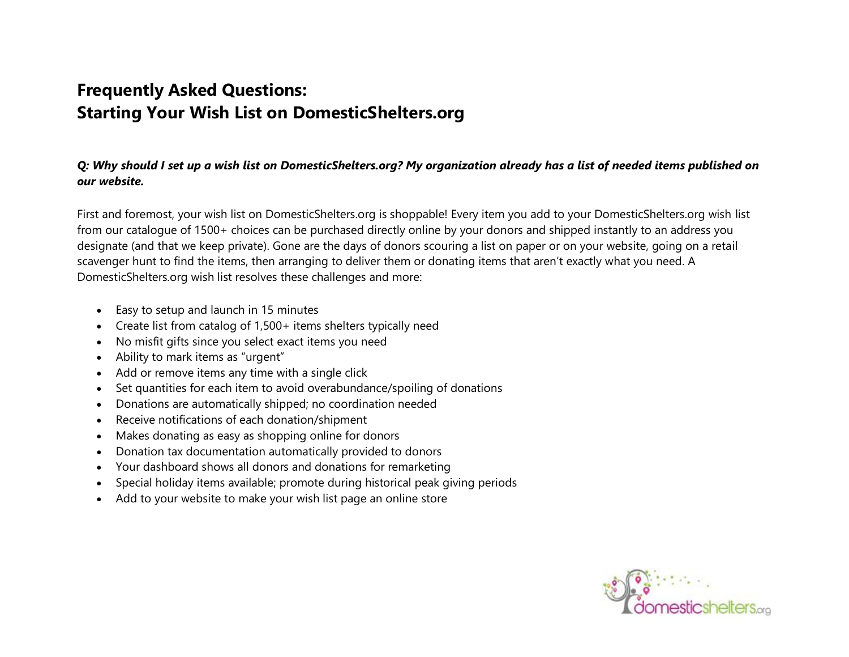# **Frequently Asked Questions: Starting Your Wish List on DomesticShelters.org**

# *Q: Why should I set up a wish list on DomesticShelters.org? My organization already has a list of needed items published on our website.*

First and foremost, your wish list on DomesticShelters.org is shoppable! Every item you add to your DomesticShelters.org wish list from our catalogue of 1500+ choices can be purchased directly online by your donors and shipped instantly to an address you designate (and that we keep private). Gone are the days of donors scouring a list on paper or on your website, going on a retail scavenger hunt to find the items, then arranging to deliver them or donating items that aren't exactly what you need. A DomesticShelters.org wish list resolves these challenges and more:

- Easy to setup and launch in 15 minutes
- Create list from catalog of 1,500+ items shelters typically need
- No misfit gifts since you select exact items you need
- Ability to mark items as "urgent"
- Add or remove items any time with a single click
- Set quantities for each item to avoid overabundance/spoiling of donations
- Donations are automatically shipped; no coordination needed
- Receive notifications of each donation/shipment
- Makes donating as easy as shopping online for donors
- Donation tax documentation automatically provided to donors
- Your dashboard shows all donors and donations for remarketing
- Special holiday items available; promote during historical peak giving periods
- Add to your website to make your wish list page an online store

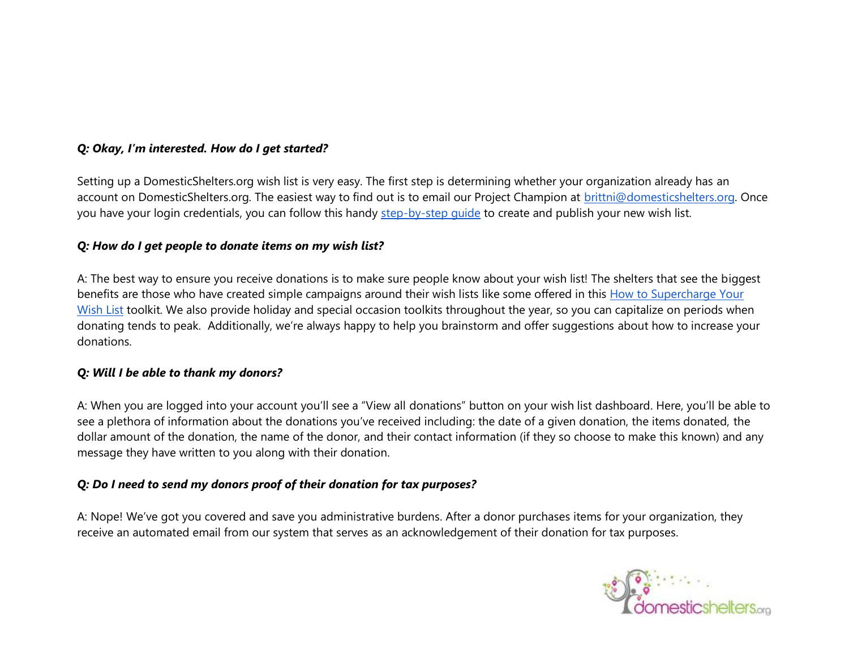## *Q: Okay, I'm interested. How do I get started?*

Setting up a DomesticShelters.org wish list is very easy. The first step is determining whether your organization already has an account on DomesticShelters.org. The easiest way to find out is to email our Project Champion at [brittni@domesticshelters.org.](mailto:brittni@domesticshelters.org) Once you have your login credentials, you can follow this handy step-by-step quide to create and publish your new wish list.

#### *Q: How do I get people to donate items on my wish list?*

A: The best way to ensure you receive donations is to make sure people know about your wish list! The shelters that see the biggest benefits are those who have created simple campaigns around their wish lists like some offered in this [How to Supercharge Your](https://www.domesticshelters.org/supercharge-your-wishlist.pdf)  [Wish List](https://www.domesticshelters.org/supercharge-your-wishlist.pdf) toolkit. We also provide holiday and special occasion toolkits throughout the year, so you can capitalize on periods when donating tends to peak. Additionally, we're always happy to help you brainstorm and offer suggestions about how to increase your donations.

#### *Q: Will I be able to thank my donors?*

A: When you are logged into your account you'll see a "View all donations" button on your wish list dashboard. Here, you'll be able to see a plethora of information about the donations you've received including: the date of a given donation, the items donated, the dollar amount of the donation, the name of the donor, and their contact information (if they so choose to make this known) and any message they have written to you along with their donation.

### *Q: Do I need to send my donors proof of their donation for tax purposes?*

A: Nope! We've got you covered and save you administrative burdens. After a donor purchases items for your organization, they receive an automated email from our system that serves as an acknowledgement of their donation for tax purposes.